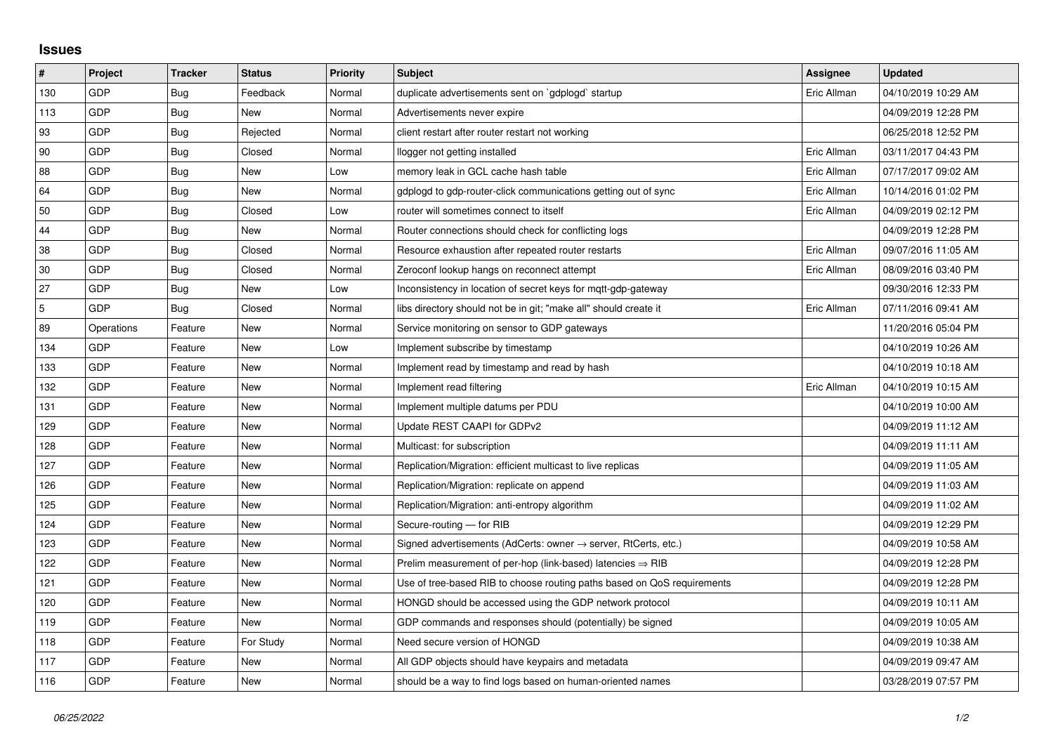## **Issues**

| $\pmb{\#}$     | Project    | <b>Tracker</b> | <b>Status</b> | <b>Priority</b> | <b>Subject</b>                                                             | <b>Assignee</b> | <b>Updated</b>      |
|----------------|------------|----------------|---------------|-----------------|----------------------------------------------------------------------------|-----------------|---------------------|
| 130            | GDP        | <b>Bug</b>     | Feedback      | Normal          | duplicate advertisements sent on `gdplogd` startup                         | Eric Allman     | 04/10/2019 10:29 AM |
| 113            | GDP        | Bug            | New           | Normal          | Advertisements never expire                                                |                 | 04/09/2019 12:28 PM |
| 93             | GDP        | Bug            | Rejected      | Normal          | client restart after router restart not working                            |                 | 06/25/2018 12:52 PM |
| 90             | GDP        | Bug            | Closed        | Normal          | llogger not getting installed                                              | Eric Allman     | 03/11/2017 04:43 PM |
| 88             | GDP        | Bug            | New           | Low             | memory leak in GCL cache hash table                                        | Eric Allman     | 07/17/2017 09:02 AM |
| 64             | GDP        | Bug            | <b>New</b>    | Normal          | gdplogd to gdp-router-click communications getting out of sync             | Eric Allman     | 10/14/2016 01:02 PM |
| 50             | GDP        | Bug            | Closed        | Low             | router will sometimes connect to itself                                    | Eric Allman     | 04/09/2019 02:12 PM |
| 44             | GDP        | Bug            | New           | Normal          | Router connections should check for conflicting logs                       |                 | 04/09/2019 12:28 PM |
| 38             | GDP        | <b>Bug</b>     | Closed        | Normal          | Resource exhaustion after repeated router restarts                         | Eric Allman     | 09/07/2016 11:05 AM |
| 30             | GDP        | Bug            | Closed        | Normal          | Zeroconf lookup hangs on reconnect attempt                                 | Eric Allman     | 08/09/2016 03:40 PM |
| 27             | GDP        | Bug            | New           | Low             | Inconsistency in location of secret keys for mgtt-gdp-gateway              |                 | 09/30/2016 12:33 PM |
| $\overline{5}$ | GDP        | <b>Bug</b>     | Closed        | Normal          | libs directory should not be in git; "make all" should create it           | Eric Allman     | 07/11/2016 09:41 AM |
| 89             | Operations | Feature        | New           | Normal          | Service monitoring on sensor to GDP gateways                               |                 | 11/20/2016 05:04 PM |
| 134            | GDP        | Feature        | <b>New</b>    | Low             | Implement subscribe by timestamp                                           |                 | 04/10/2019 10:26 AM |
| 133            | GDP        | Feature        | New           | Normal          | Implement read by timestamp and read by hash                               |                 | 04/10/2019 10:18 AM |
| 132            | GDP        | Feature        | New           | Normal          | Implement read filtering                                                   | Eric Allman     | 04/10/2019 10:15 AM |
| 131            | GDP        | Feature        | <b>New</b>    | Normal          | Implement multiple datums per PDU                                          |                 | 04/10/2019 10:00 AM |
| 129            | GDP        | Feature        | New           | Normal          | Update REST CAAPI for GDPv2                                                |                 | 04/09/2019 11:12 AM |
| 128            | GDP        | Feature        | New           | Normal          | Multicast: for subscription                                                |                 | 04/09/2019 11:11 AM |
| 127            | GDP        | Feature        | New           | Normal          | Replication/Migration: efficient multicast to live replicas                |                 | 04/09/2019 11:05 AM |
| 126            | GDP        | Feature        | New           | Normal          | Replication/Migration: replicate on append                                 |                 | 04/09/2019 11:03 AM |
| 125            | GDP        | Feature        | New           | Normal          | Replication/Migration: anti-entropy algorithm                              |                 | 04/09/2019 11:02 AM |
| 124            | GDP        | Feature        | New           | Normal          | Secure-routing - for RIB                                                   |                 | 04/09/2019 12:29 PM |
| 123            | GDP        | Feature        | New           | Normal          | Signed advertisements (AdCerts: owner $\rightarrow$ server, RtCerts, etc.) |                 | 04/09/2019 10:58 AM |
| 122            | GDP        | Feature        | <b>New</b>    | Normal          | Prelim measurement of per-hop (link-based) latencies $\Rightarrow$ RIB     |                 | 04/09/2019 12:28 PM |
| 121            | GDP        | Feature        | New           | Normal          | Use of tree-based RIB to choose routing paths based on QoS requirements    |                 | 04/09/2019 12:28 PM |
| 120            | GDP        | Feature        | New           | Normal          | HONGD should be accessed using the GDP network protocol                    |                 | 04/09/2019 10:11 AM |
| 119            | GDP        | Feature        | New           | Normal          | GDP commands and responses should (potentially) be signed                  |                 | 04/09/2019 10:05 AM |
| 118            | GDP        | Feature        | For Study     | Normal          | Need secure version of HONGD                                               |                 | 04/09/2019 10:38 AM |
| 117            | GDP        | Feature        | New           | Normal          | All GDP objects should have keypairs and metadata                          |                 | 04/09/2019 09:47 AM |
| 116            | GDP        | Feature        | New           | Normal          | should be a way to find logs based on human-oriented names                 |                 | 03/28/2019 07:57 PM |